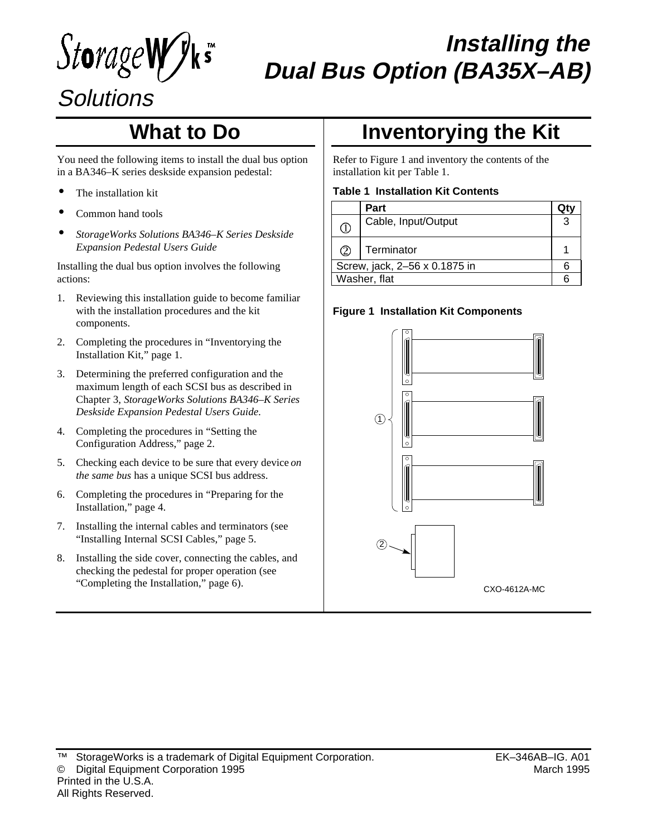StorageW

# **Installing the Dual Bus Option (BA35X–AB)**

# **Solutions**

## **What to Do**

You need the following items to install the dual bus option in a BA346–K series deskside expansion pedestal:

- The installation kit
- Common hand tools
- *StorageWorks Solutions BA346–K Series Deskside Expansion Pedestal Users Guide*

Installing the dual bus option involves the following actions:

- 1. Reviewing this installation guide to become familiar with the installation procedures and the kit components.
- 2. Completing the procedures in "Inventorying the Installation Kit," page 1.
- 3. Determining the preferred configuration and the maximum length of each SCSI bus as described in Chapter 3, *StorageWorks Solutions BA346–K Series Deskside Expansion Pedestal Users Guide*.
- 4. Completing the procedures in "Setting the Configuration Address," page 2.
- 5. Checking each device to be sure that every device *on the same bus* has a unique SCSI bus address.
- 6. Completing the procedures in "Preparing for the Installation," page 4.
- 7. Installing the internal cables and terminators (see "Installing Internal SCSI Cables," page 5.
- 8. Installing the side cover, connecting the cables, and checking the pedestal for proper operation (see "Completing the Installation," page 6).

## **Inventorying the Kit**

Refer to Figure 1 and inventory the contents of the installation kit per Table 1.

#### **Table 1 Installation Kit Contents**

|                               | Part                |   |
|-------------------------------|---------------------|---|
| $\circled{1}$                 | Cable, Input/Output | 3 |
| $\circled{2}$                 | Terminator          |   |
| Screw, jack, 2-56 x 0.1875 in |                     |   |
| Washer, flat                  |                     |   |

### **Figure 1 Installation Kit Components**

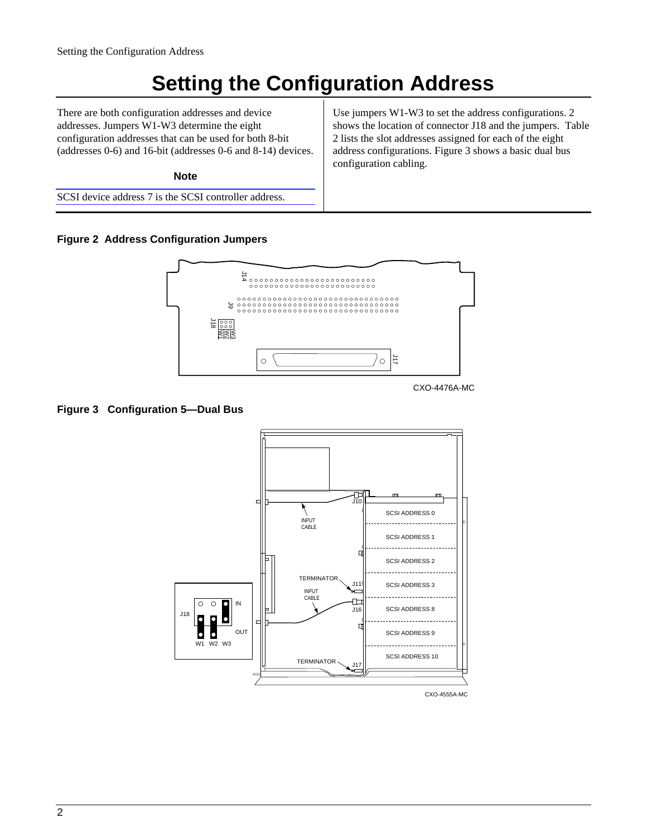## **Setting the Configuration Address**

There are both configuration addresses and device addresses. Jumpers W1-W3 determine the eight configuration addresses that can be used for both 8-bit (addresses 0-6) and 16-bit (addresses 0-6 and 8-14) devices.

**Note**

SCSI device address 7 is the SCSI controller address.

Use jumpers W1-W3 to set the address configurations. 2 shows the location of connector J18 and the jumpers. Table 2 lists the slot addresses assigned for each of the eight address configurations. Figure 3 shows a basic dual bus configuration cabling.

#### **Figure 2 Address Configuration Jumpers**



CXO-4476A-MC

#### **Figure 3 Configuration 5—Dual Bus**

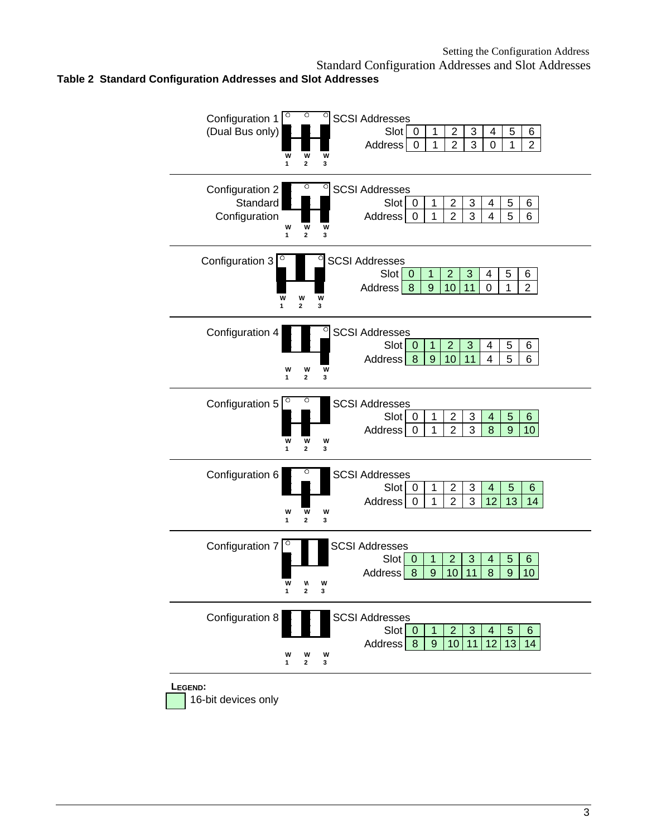#### Standard Configuration Addresses and Slot Addresses **Table 2 Standard Configuration Addresses and Slot Addresses**



16-bit devices only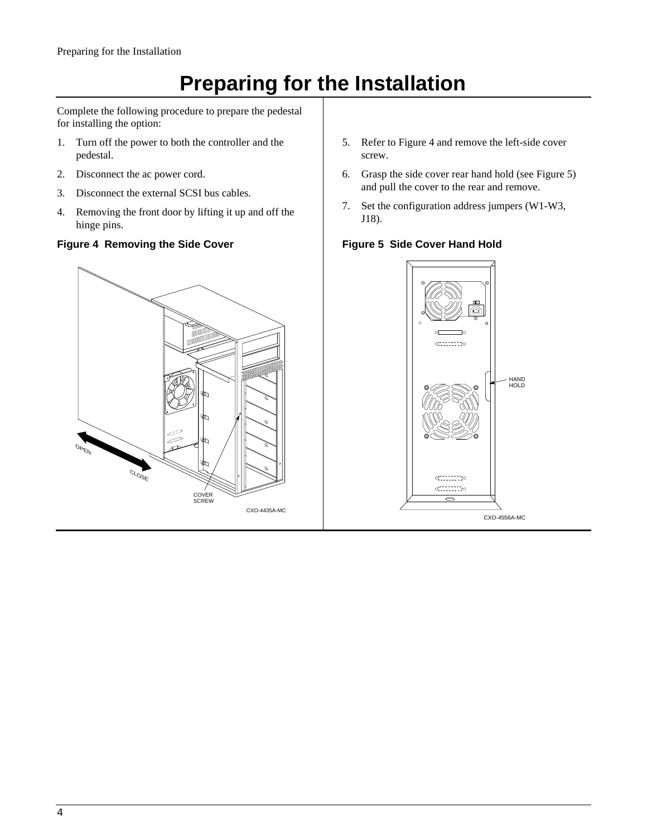# **Preparing for the Installation**

Complete the following procedure to prepare the pedestal for installing the option:

- 1. Turn off the power to both the controller and the pedestal.
- 2. Disconnect the ac power cord.
- 3. Disconnect the external SCSI bus cables.
- 4. Removing the front door by lifting it up and off the hinge pins.

### **Figure 4 Removing the Side Cover**



- 5. Refer to Figure 4 and remove the left-side cover screw.
- 6. Grasp the side cover rear hand hold (see Figure 5) and pull the cover to the rear and remove.
- 7. Set the configuration address jumpers (W1-W3, J18).

### **Figure 5 Side Cover Hand Hold**

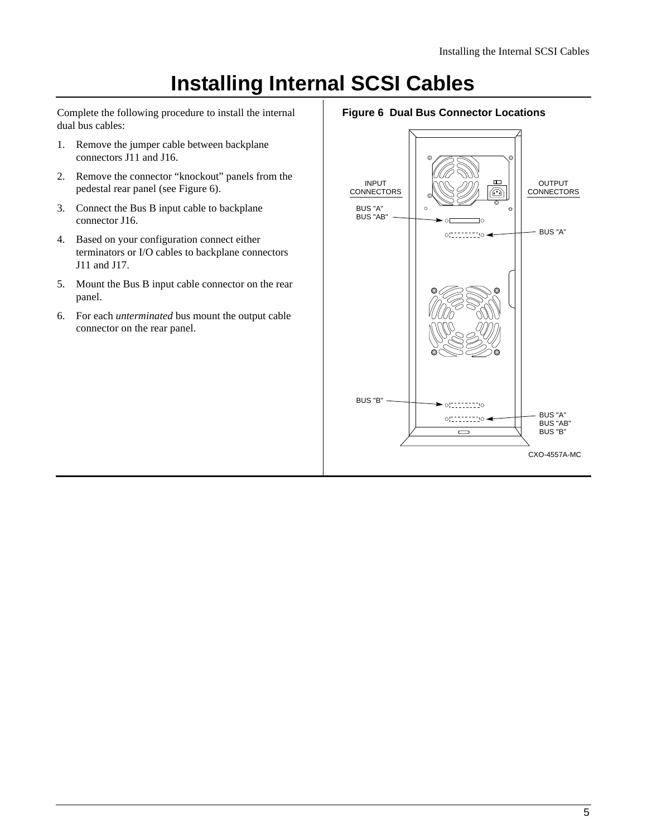### **Installing Internal SCSI Cables**

Complete the following procedure to install the internal dual bus cables:

- 1. Remove the jumper cable between backplane connectors J11 and J16.
- 2. Remove the connector "knockout" panels from the pedestal rear panel (see Figure 6).
- 3. Connect the Bus B input cable to backplane connector J16.
- 4. Based on your configuration connect either terminators or I/O cables to backplane connectors J11 and J17.
- 5. Mount the Bus B input cable connector on the rear panel.
- 6. For each *unterminated* bus mount the output cable connector on the rear panel.

#### **Figure 6 Dual Bus Connector Locations**